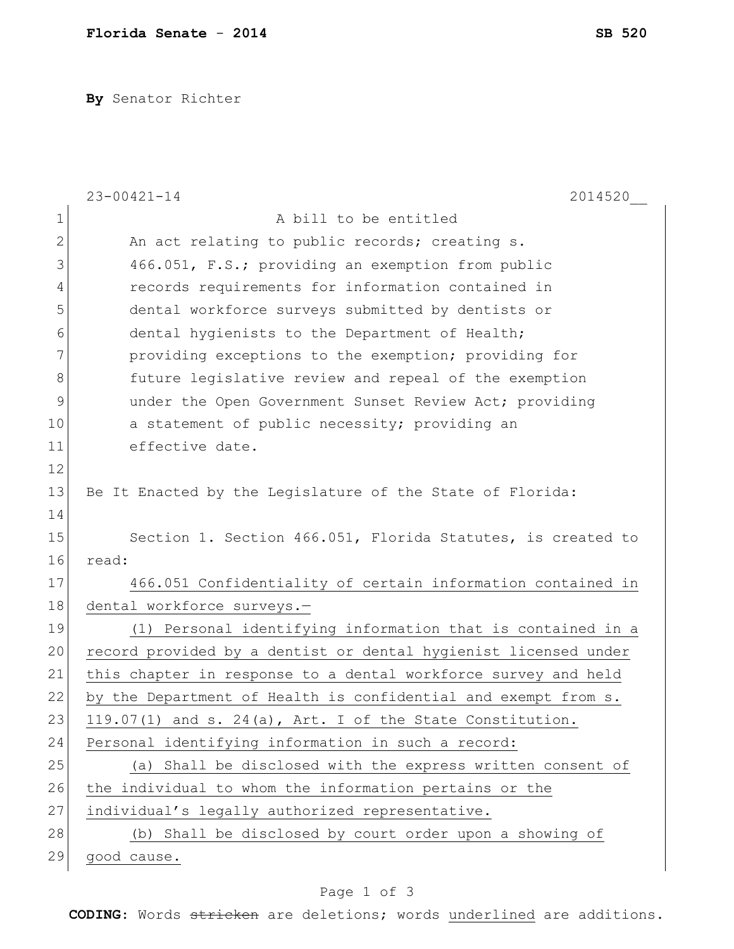**By** Senator Richter

|               | $23 - 00421 - 14$<br>2014520                                    |
|---------------|-----------------------------------------------------------------|
| $\mathbf 1$   | A bill to be entitled                                           |
| 2             | An act relating to public records; creating s.                  |
| 3             | 466.051, F.S.; providing an exemption from public               |
| 4             | records requirements for information contained in               |
| 5             | dental workforce surveys submitted by dentists or               |
| 6             | dental hygienists to the Department of Health;                  |
| 7             | providing exceptions to the exemption; providing for            |
| 8             | future legislative review and repeal of the exemption           |
| $\mathcal{G}$ | under the Open Government Sunset Review Act; providing          |
| 10            | a statement of public necessity; providing an                   |
| 11            | effective date.                                                 |
| 12            |                                                                 |
| 13            | Be It Enacted by the Legislature of the State of Florida:       |
| 14            |                                                                 |
| 15            | Section 1. Section 466.051, Florida Statutes, is created to     |
| 16            | read:                                                           |
| 17            | 466.051 Confidentiality of certain information contained in     |
| 18            | dental workforce surveys.-                                      |
| 19            | (1) Personal identifying information that is contained in a     |
| 20            | record provided by a dentist or dental hygienist licensed under |
| 21            | this chapter in response to a dental workforce survey and held  |
| 22            | by the Department of Health is confidential and exempt from s.  |
| 23            | 119.07(1) and s. 24(a), Art. I of the State Constitution.       |
| 24            | Personal identifying information in such a record:              |
| 25            | (a) Shall be disclosed with the express written consent of      |
| 26            | the individual to whom the information pertains or the          |
| 27            | individual's legally authorized representative.                 |
| 28            | (b) Shall be disclosed by court order upon a showing of         |
| 29            | good cause.                                                     |

## Page 1 of 3

**CODING**: Words stricken are deletions; words underlined are additions.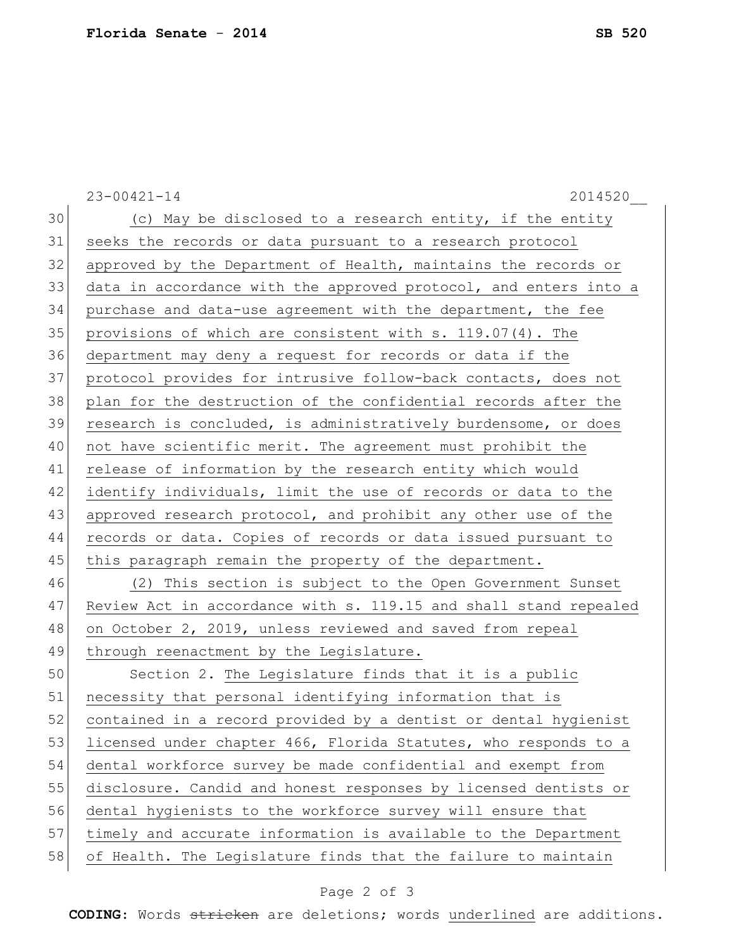|    | $23 - 00421 - 14$<br>2014520                                     |
|----|------------------------------------------------------------------|
| 30 | (c) May be disclosed to a research entity, if the entity         |
| 31 | seeks the records or data pursuant to a research protocol        |
| 32 | approved by the Department of Health, maintains the records or   |
| 33 | data in accordance with the approved protocol, and enters into a |
| 34 | purchase and data-use agreement with the department, the fee     |
| 35 | provisions of which are consistent with s. $119.07(4)$ . The     |
| 36 | department may deny a request for records or data if the         |
| 37 | protocol provides for intrusive follow-back contacts, does not   |
| 38 | plan for the destruction of the confidential records after the   |
| 39 | research is concluded, is administratively burdensome, or does   |
| 40 | not have scientific merit. The agreement must prohibit the       |
| 41 | release of information by the research entity which would        |
| 42 | identify individuals, limit the use of records or data to the    |
| 43 | approved research protocol, and prohibit any other use of the    |
| 44 | records or data. Copies of records or data issued pursuant to    |
| 45 | this paragraph remain the property of the department.            |
| 46 | (2) This section is subject to the Open Government Sunset        |
| 47 | Review Act in accordance with s. 119.15 and shall stand repealed |
| 48 | on October 2, 2019, unless reviewed and saved from repeal        |
| 49 | through reenactment by the Legislature.                          |
| 50 | Section 2. The Legislature finds that it is a public             |
| 51 | necessity that personal identifying information that is          |
| 52 | contained in a record provided by a dentist or dental hygienist  |
| 53 | licensed under chapter 466, Florida Statutes, who responds to a  |
| 54 | dental workforce survey be made confidential and exempt from     |
| 55 | disclosure. Candid and honest responses by licensed dentists or  |
| 56 | dental hygienists to the workforce survey will ensure that       |
| 57 | timely and accurate information is available to the Department   |
| 58 | of Health. The Legislature finds that the failure to maintain    |

## Page 2 of 3

**CODING**: Words stricken are deletions; words underlined are additions.